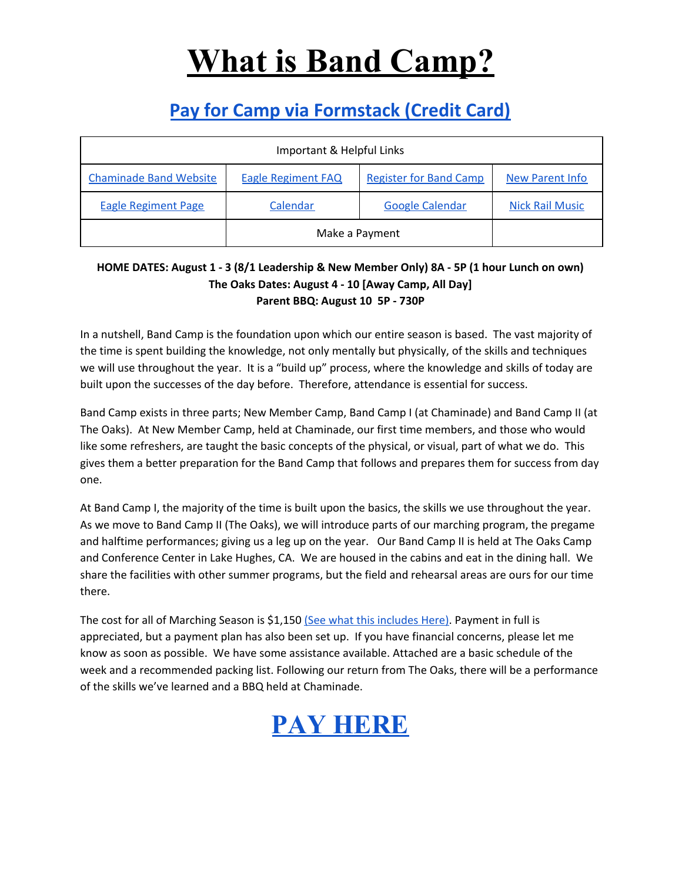## **What is Band Camp?**

### **[Pay for Camp via Formstack \(Credit Card\)](https://chaminade.formstack.com/forms/hs_band_paymentstest)**

| Important & Helpful Links     |                           |                               |                        |  |  |  |  |
|-------------------------------|---------------------------|-------------------------------|------------------------|--|--|--|--|
| <b>Chaminade Band Website</b> | <b>Eagle Regiment FAQ</b> | <b>Register for Band Camp</b> | <b>New Parent Info</b> |  |  |  |  |
| <b>Eagle Regiment Page</b>    | Calendar                  | <b>Google Calendar</b>        | <b>Nick Rail Music</b> |  |  |  |  |
|                               | Make a Payment            |                               |                        |  |  |  |  |

#### HOME DATES: August 1 - 3 (8/1 Leadership & New Member Only) 8A - 5P (1 hour Lunch on own) **The Oaks Dates: August 4 - 10 [Away Camp, All Day] Parent BBQ: August 10 5P - 730P**

In a nutshell, Band Camp is the foundation upon which our entire season is based. The vast majority of the time is spent building the knowledge, not only mentally but physically, of the skills and techniques we will use throughout the year. It is a "build up" process, where the knowledge and skills of today are built upon the successes of the day before. Therefore, attendance is essential for success.

Band Camp exists in three parts; New Member Camp, Band Camp I (at Chaminade) and Band Camp II (at The Oaks). At New Member Camp, held at Chaminade, our first time members, and those who would like some refreshers, are taught the basic concepts of the physical, or visual, part of what we do. This gives them a better preparation for the Band Camp that follows and prepares them for success from day one.

At Band Camp I, the majority of the time is built upon the basics, the skills we use throughout the year. As we move to Band Camp II (The Oaks), we will introduce parts of our marching program, the pregame and halftime performances; giving us a leg up on the year. Our Band Camp II is held at The Oaks Camp and Conference Center in Lake Hughes, CA. We are housed in the cabins and eat in the dining hall. We share the facilities with other summer programs, but the field and rehearsal areas are ours for our time there.

The cost for all of Marching Season is \$1,150 (See what this [includes](https://www.chaminadebands.com/copy-of-eagle-regiment-schedule-of-) Here). Payment in full is appreciated, but a payment plan has also been set up. If you have financial concerns, please let me know as soon as possible. We have some assistance available. Attached are a basic schedule of the week and a recommended packing list. Following our return from The Oaks, there will be a performance of the skills we've learned and a BBQ held at Chaminade.

### **[PAY HERE](https://chaminade.formstack.com/forms/hs_band_paymentstest)**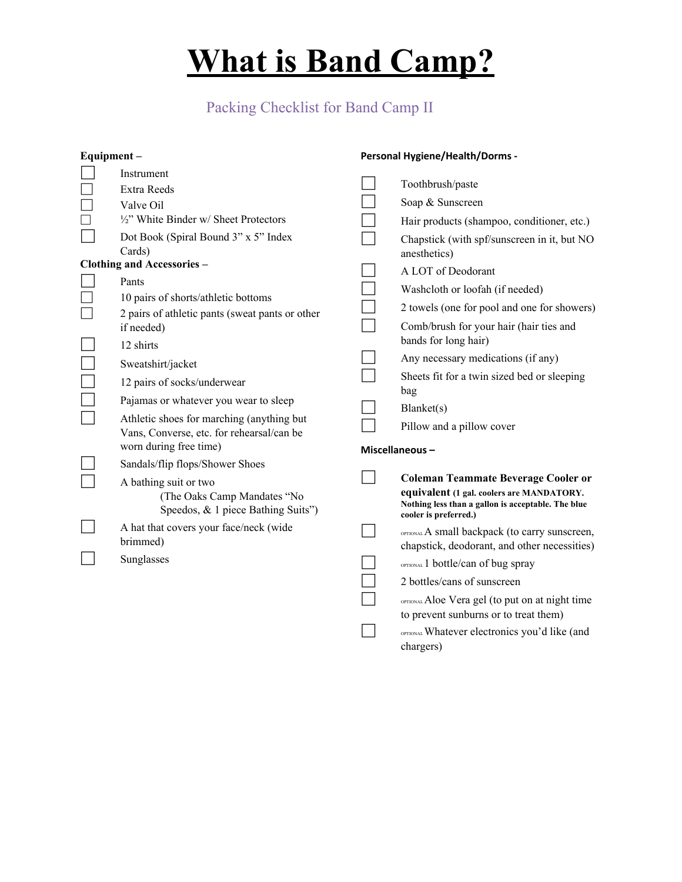# **What is Band Camp?**

#### Packing Checklist for Band Camp II

| Equipment-                        |                                                                                                                  | <b>Personal Hygiene/Health/Dorms -</b> |                                                                                                                                                                        |  |
|-----------------------------------|------------------------------------------------------------------------------------------------------------------|----------------------------------------|------------------------------------------------------------------------------------------------------------------------------------------------------------------------|--|
|                                   | Instrument<br>Extra Reeds                                                                                        |                                        | Toothbrush/paste                                                                                                                                                       |  |
|                                   | Valve Oil                                                                                                        |                                        | Soap & Sunscreen                                                                                                                                                       |  |
| $\Box$                            | 1/2" White Binder w/ Sheet Protectors                                                                            |                                        | Hair products (shampoo, conditioner, etc.)                                                                                                                             |  |
|                                   | Dot Book (Spiral Bound 3" x 5" Index<br>Cards)                                                                   |                                        | Chapstick (with spf/sunscreen in it, but NO<br>anesthetics)                                                                                                            |  |
| <b>Clothing and Accessories -</b> |                                                                                                                  |                                        | A LOT of Deodorant                                                                                                                                                     |  |
|                                   | Pants<br>10 pairs of shorts/athletic bottoms                                                                     |                                        | Washcloth or loofah (if needed)                                                                                                                                        |  |
|                                   | 2 pairs of athletic pants (sweat pants or other                                                                  |                                        | 2 towels (one for pool and one for showers)                                                                                                                            |  |
|                                   | if needed)<br>12 shirts                                                                                          |                                        | Comb/brush for your hair (hair ties and<br>bands for long hair)                                                                                                        |  |
|                                   |                                                                                                                  |                                        | Any necessary medications (if any)                                                                                                                                     |  |
|                                   | Sweatshirt/jacket<br>12 pairs of socks/underwear                                                                 |                                        | Sheets fit for a twin sized bed or sleeping<br>bag                                                                                                                     |  |
|                                   | Pajamas or whatever you wear to sleep                                                                            |                                        | Blanket(s)                                                                                                                                                             |  |
|                                   | Athletic shoes for marching (anything but<br>Vans, Converse, etc. for rehearsal/can be<br>worn during free time) |                                        | Pillow and a pillow cover                                                                                                                                              |  |
|                                   | Sandals/flip flops/Shower Shoes                                                                                  | Miscellaneous-                         |                                                                                                                                                                        |  |
|                                   | A bathing suit or two<br>(The Oaks Camp Mandates "No<br>Speedos, & 1 piece Bathing Suits")                       |                                        | <b>Coleman Teammate Beverage Cooler or</b><br>equivalent (1 gal. coolers are MANDATORY.<br>Nothing less than a gallon is acceptable. The blue<br>cooler is preferred.) |  |
|                                   | A hat that covers your face/neck (wide<br>brimmed)                                                               |                                        | OPTIONAL A small backpack (to carry sunscreen,<br>chapstick, deodorant, and other necessities)                                                                         |  |
|                                   | Sunglasses                                                                                                       |                                        | OPTIONAL 1 bottle/can of bug spray                                                                                                                                     |  |
|                                   |                                                                                                                  |                                        | 2 bottles/cans of sunscreen                                                                                                                                            |  |
|                                   |                                                                                                                  |                                        | OPTIONAL Aloe Vera gel (to put on at night time<br>to prevent sunburns or to treat them)<br>OPTIONAL Whatever electronics you'd like (and                              |  |
|                                   |                                                                                                                  |                                        | chargers)                                                                                                                                                              |  |